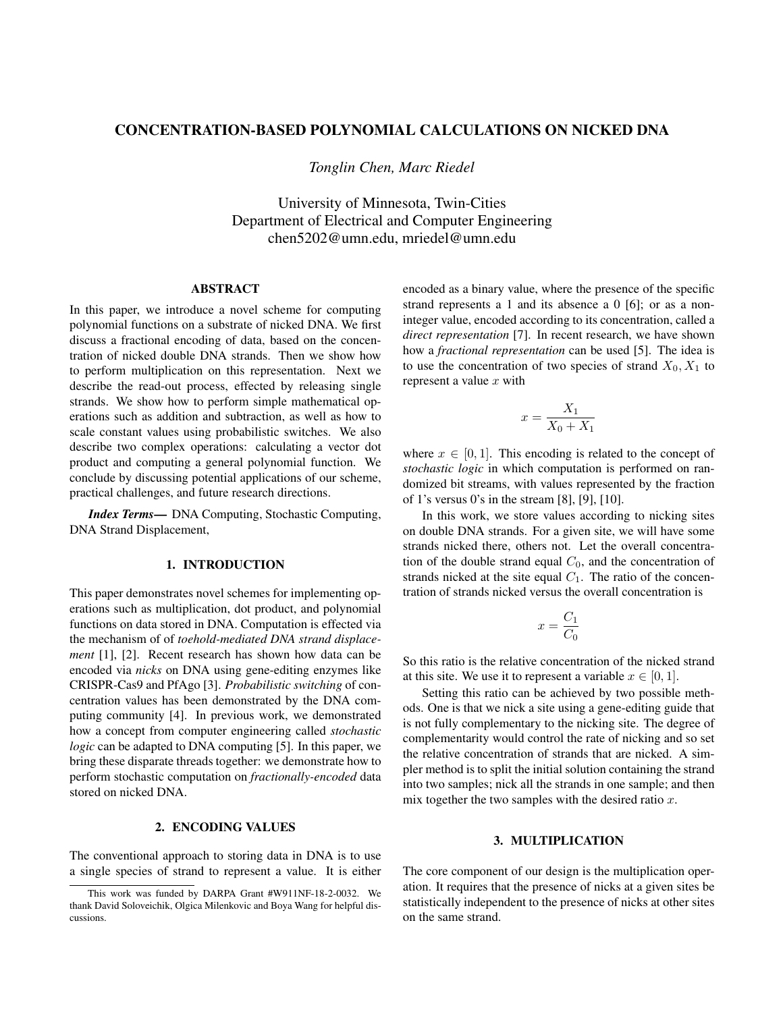# CONCENTRATION-BASED POLYNOMIAL CALCULATIONS ON NICKED DNA

*Tonglin Chen, Marc Riedel*

University of Minnesota, Twin-Cities Department of Electrical and Computer Engineering chen5202@umn.edu, mriedel@umn.edu

# ABSTRACT

In this paper, we introduce a novel scheme for computing polynomial functions on a substrate of nicked DNA. We first discuss a fractional encoding of data, based on the concentration of nicked double DNA strands. Then we show how to perform multiplication on this representation. Next we describe the read-out process, effected by releasing single strands. We show how to perform simple mathematical operations such as addition and subtraction, as well as how to scale constant values using probabilistic switches. We also describe two complex operations: calculating a vector dot product and computing a general polynomial function. We conclude by discussing potential applications of our scheme, practical challenges, and future research directions.

*Index Terms*— DNA Computing, Stochastic Computing, DNA Strand Displacement,

## 1. INTRODUCTION

This paper demonstrates novel schemes for implementing operations such as multiplication, dot product, and polynomial functions on data stored in DNA. Computation is effected via the mechanism of of *toehold-mediated DNA strand displacement* [1], [2]. Recent research has shown how data can be encoded via *nicks* on DNA using gene-editing enzymes like CRISPR-Cas9 and PfAgo [3]. *Probabilistic switching* of concentration values has been demonstrated by the DNA computing community [4]. In previous work, we demonstrated how a concept from computer engineering called *stochastic logic* can be adapted to DNA computing [5]. In this paper, we bring these disparate threads together: we demonstrate how to perform stochastic computation on *fractionally-encoded* data stored on nicked DNA.

### 2. ENCODING VALUES

The conventional approach to storing data in DNA is to use a single species of strand to represent a value. It is either encoded as a binary value, where the presence of the specific strand represents a 1 and its absence a 0 [6]; or as a noninteger value, encoded according to its concentration, called a *direct representation* [7]. In recent research, we have shown how a *fractional representation* can be used [5]. The idea is to use the concentration of two species of strand  $X_0, X_1$  to represent a value  $x$  with

$$
x = \frac{X_1}{X_0 + X_1}
$$

where  $x \in [0, 1]$ . This encoding is related to the concept of *stochastic logic* in which computation is performed on randomized bit streams, with values represented by the fraction of 1's versus 0's in the stream [8], [9], [10].

In this work, we store values according to nicking sites on double DNA strands. For a given site, we will have some strands nicked there, others not. Let the overall concentration of the double strand equal  $C_0$ , and the concentration of strands nicked at the site equal  $C_1$ . The ratio of the concentration of strands nicked versus the overall concentration is

$$
x = \frac{C_1}{C_0}
$$

So this ratio is the relative concentration of the nicked strand at this site. We use it to represent a variable  $x \in [0, 1]$ .

Setting this ratio can be achieved by two possible methods. One is that we nick a site using a gene-editing guide that is not fully complementary to the nicking site. The degree of complementarity would control the rate of nicking and so set the relative concentration of strands that are nicked. A simpler method is to split the initial solution containing the strand into two samples; nick all the strands in one sample; and then mix together the two samples with the desired ratio  $x$ .

#### 3. MULTIPLICATION

The core component of our design is the multiplication operation. It requires that the presence of nicks at a given sites be statistically independent to the presence of nicks at other sites on the same strand.

This work was funded by DARPA Grant #W911NF-18-2-0032. We thank David Soloveichik, Olgica Milenkovic and Boya Wang for helpful discussions.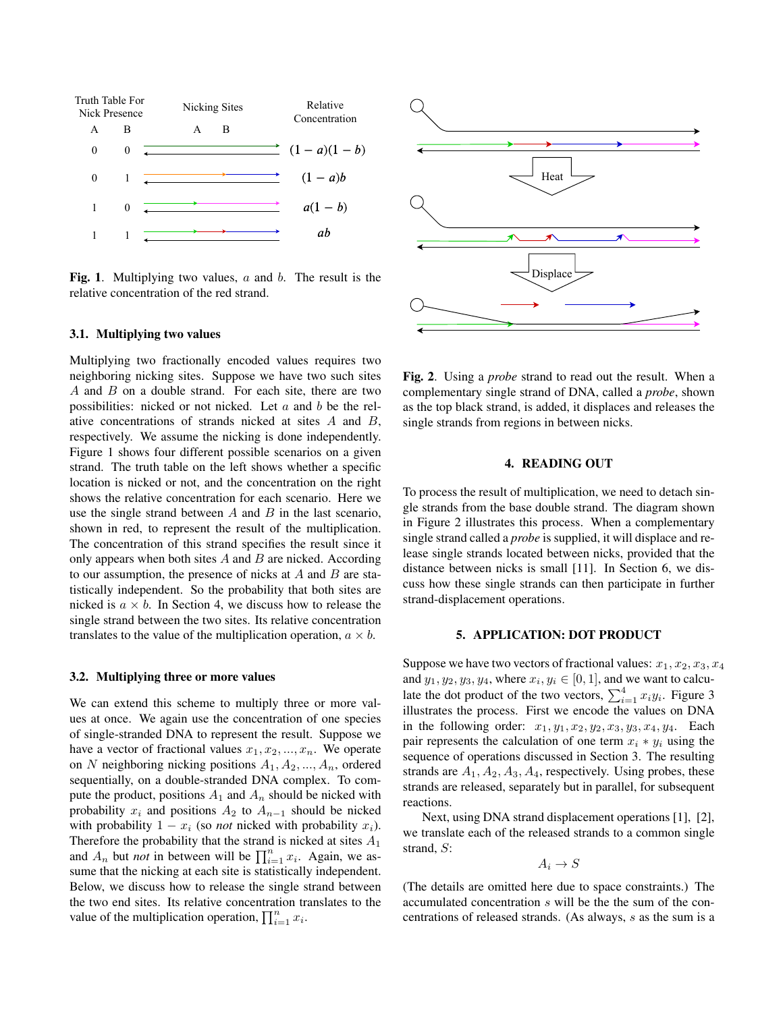

Fig. 1. Multiplying two values,  $a$  and  $b$ . The result is the relative concentration of the red strand.

#### 3.1. Multiplying two values

Multiplying two fractionally encoded values requires two neighboring nicking sites. Suppose we have two such sites A and  $B$  on a double strand. For each site, there are two possibilities: nicked or not nicked. Let  $a$  and  $b$  be the relative concentrations of strands nicked at sites A and B, respectively. We assume the nicking is done independently. Figure 1 shows four different possible scenarios on a given strand. The truth table on the left shows whether a specific location is nicked or not, and the concentration on the right shows the relative concentration for each scenario. Here we use the single strand between  $A$  and  $B$  in the last scenario, shown in red, to represent the result of the multiplication. The concentration of this strand specifies the result since it only appears when both sites  $A$  and  $B$  are nicked. According to our assumption, the presence of nicks at  $A$  and  $B$  are statistically independent. So the probability that both sites are nicked is  $a \times b$ . In Section 4, we discuss how to release the single strand between the two sites. Its relative concentration translates to the value of the multiplication operation,  $a \times b$ .

#### 3.2. Multiplying three or more values

We can extend this scheme to multiply three or more values at once. We again use the concentration of one species of single-stranded DNA to represent the result. Suppose we have a vector of fractional values  $x_1, x_2, ..., x_n$ . We operate on N neighboring nicking positions  $A_1, A_2, ..., A_n$ , ordered sequentially, on a double-stranded DNA complex. To compute the product, positions  $A_1$  and  $A_n$  should be nicked with probability  $x_i$  and positions  $A_2$  to  $A_{n-1}$  should be nicked with probability  $1 - x_i$  (so *not* nicked with probability  $x_i$ ). Therefore the probability that the strand is nicked at sites  $A_1$ and  $A_n$  but *not* in between will be  $\prod_{i=1}^n x_i$ . Again, we assume that the nicking at each site is statistically independent. Below, we discuss how to release the single strand between the two end sites. Its relative concentration translates to the value of the multiplication operation,  $\prod_{i=1}^{n} x_i$ .



Fig. 2. Using a *probe* strand to read out the result. When a complementary single strand of DNA, called a *probe*, shown as the top black strand, is added, it displaces and releases the single strands from regions in between nicks.

## 4. READING OUT

To process the result of multiplication, we need to detach single strands from the base double strand. The diagram shown in Figure 2 illustrates this process. When a complementary single strand called a *probe* is supplied, it will displace and release single strands located between nicks, provided that the distance between nicks is small [11]. In Section 6, we discuss how these single strands can then participate in further strand-displacement operations.

## 5. APPLICATION: DOT PRODUCT

Suppose we have two vectors of fractional values:  $x_1, x_2, x_3, x_4$ and  $y_1, y_2, y_3, y_4$ , where  $x_i, y_i \in [0, 1]$ , and we want to calculate the dot product of the two vectors,  $\sum_{i=1}^{4} x_i y_i$ . Figure 3 illustrates the process. First we encode the values on DNA in the following order:  $x_1, y_1, x_2, y_2, x_3, y_3, x_4, y_4$ . Each pair represents the calculation of one term  $x_i * y_i$  using the sequence of operations discussed in Section 3. The resulting strands are  $A_1$ ,  $A_2$ ,  $A_3$ ,  $A_4$ , respectively. Using probes, these strands are released, separately but in parallel, for subsequent reactions.

Next, using DNA strand displacement operations [1], [2], we translate each of the released strands to a common single strand, S:

$$
A_i \to S
$$

(The details are omitted here due to space constraints.) The accumulated concentration s will be the the sum of the concentrations of released strands. (As always, s as the sum is a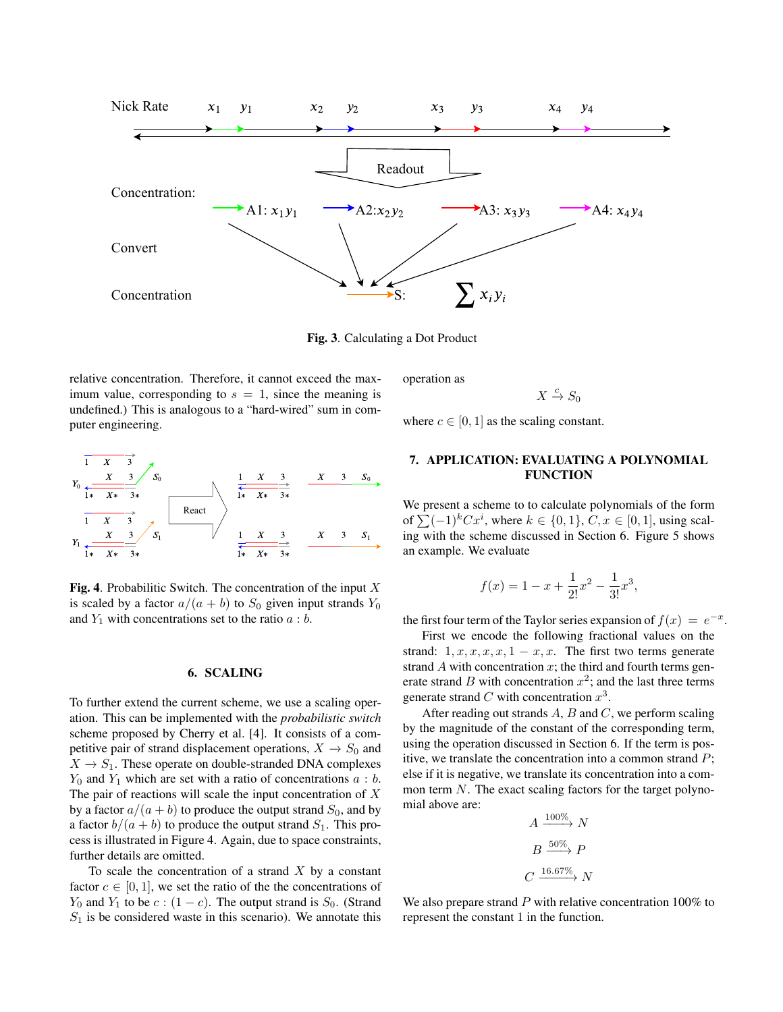

Fig. 3. Calculating a Dot Product

relative concentration. Therefore, it cannot exceed the maximum value, corresponding to  $s = 1$ , since the meaning is undefined.) This is analogous to a "hard-wired" sum in computer engineering.



Fig. 4. Probabilitic Switch. The concentration of the input  $X$ is scaled by a factor  $a/(a + b)$  to  $S_0$  given input strands  $Y_0$ and  $Y_1$  with concentrations set to the ratio  $a:b$ .

# 6. SCALING

To further extend the current scheme, we use a scaling operation. This can be implemented with the *probabilistic switch* scheme proposed by Cherry et al. [4]. It consists of a competitive pair of strand displacement operations,  $X \rightarrow S_0$  and  $X \rightarrow S_1$ . These operate on double-stranded DNA complexes  $Y_0$  and  $Y_1$  which are set with a ratio of concentrations  $a : b$ . The pair of reactions will scale the input concentration of  $X$ by a factor  $a/(a + b)$  to produce the output strand  $S_0$ , and by a factor  $b/(a + b)$  to produce the output strand  $S_1$ . This process is illustrated in Figure 4. Again, due to space constraints, further details are omitted.

To scale the concentration of a strand  $X$  by a constant factor  $c \in [0, 1]$ , we set the ratio of the the concentrations of  $Y_0$  and  $Y_1$  to be  $c:(1-c)$ . The output strand is  $S_0$ . (Strand  $S_1$  is be considered waste in this scenario). We annotate this

operation as

 $X \stackrel{c}{\to} S_0$ 

where  $c \in [0, 1]$  as the scaling constant.

# 7. APPLICATION: EVALUATING A POLYNOMIAL FUNCTION

We present a scheme to to calculate polynomials of the form of  $\sum (-1)^k C x^i$ , where  $k \in \{0, 1\}$ ,  $C, x \in [0, 1]$ , using scaling with the scheme discussed in Section 6. Figure 5 shows an example. We evaluate

$$
f(x) = 1 - x + \frac{1}{2!}x^{2} - \frac{1}{3!}x^{3},
$$

the first four term of the Taylor series expansion of  $f(x) = e^{-x}$ .

First we encode the following fractional values on the strand:  $1, x, x, x, x, 1 - x, x$ . The first two terms generate strand  $A$  with concentration  $x$ ; the third and fourth terms generate strand B with concentration  $x^2$ ; and the last three terms generate strand C with concentration  $x^3$ .

After reading out strands  $A$ ,  $B$  and  $C$ , we perform scaling by the magnitude of the constant of the corresponding term, using the operation discussed in Section 6. If the term is positive, we translate the concentration into a common strand  $P$ ; else if it is negative, we translate its concentration into a common term N. The exact scaling factors for the target polynomial above are:

$$
A \xrightarrow{100\%} N
$$

$$
B \xrightarrow{50\%} P
$$

$$
C \xrightarrow{16.67\%} N
$$

We also prepare strand  $P$  with relative concentration 100% to represent the constant 1 in the function.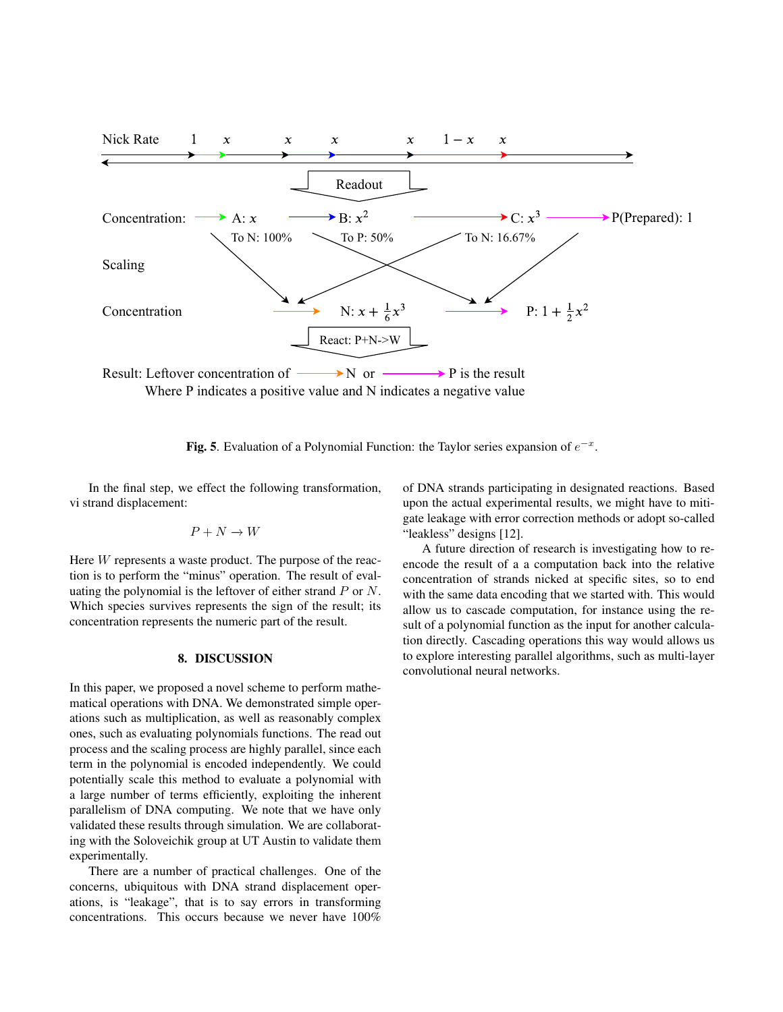

Fig. 5. Evaluation of a Polynomial Function: the Taylor series expansion of  $e^{-x}$ .

In the final step, we effect the following transformation, vi strand displacement:

$$
P+N\to W
$$

Here W represents a waste product. The purpose of the reaction is to perform the "minus" operation. The result of evaluating the polynomial is the leftover of either strand  $P$  or  $N$ . Which species survives represents the sign of the result; its concentration represents the numeric part of the result.

#### 8. DISCUSSION

In this paper, we proposed a novel scheme to perform mathematical operations with DNA. We demonstrated simple operations such as multiplication, as well as reasonably complex ones, such as evaluating polynomials functions. The read out process and the scaling process are highly parallel, since each term in the polynomial is encoded independently. We could potentially scale this method to evaluate a polynomial with a large number of terms efficiently, exploiting the inherent parallelism of DNA computing. We note that we have only validated these results through simulation. We are collaborating with the Soloveichik group at UT Austin to validate them experimentally.

There are a number of practical challenges. One of the concerns, ubiquitous with DNA strand displacement operations, is "leakage", that is to say errors in transforming concentrations. This occurs because we never have 100%

of DNA strands participating in designated reactions. Based upon the actual experimental results, we might have to mitigate leakage with error correction methods or adopt so-called "leakless" designs [12].

A future direction of research is investigating how to reencode the result of a a computation back into the relative concentration of strands nicked at specific sites, so to end with the same data encoding that we started with. This would allow us to cascade computation, for instance using the result of a polynomial function as the input for another calculation directly. Cascading operations this way would allows us to explore interesting parallel algorithms, such as multi-layer convolutional neural networks.